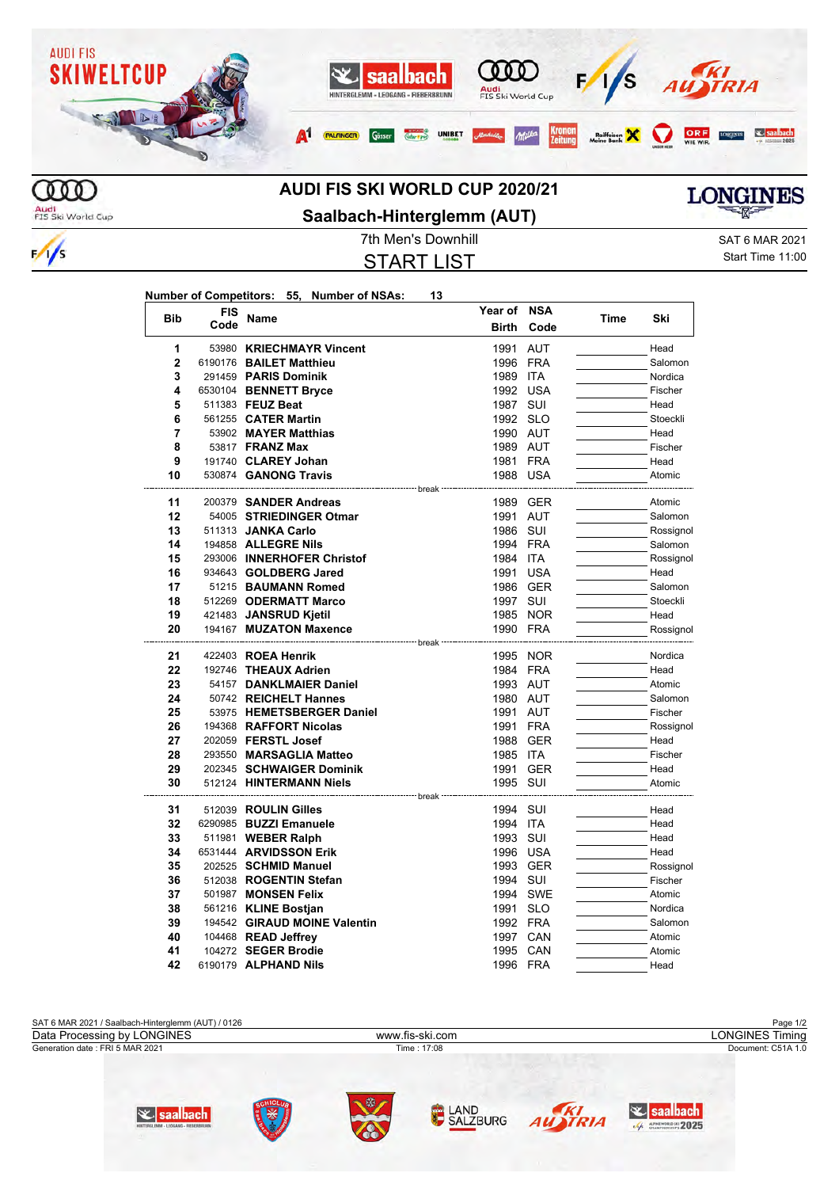

## **AUDI FIS SKI WORLD CUP 2020/21**

Audi<br>FIS Ski World Cup

 $\frac{1}{s}$ 



START LIST

7th Men's Downhill **SAT 6 MAR 2021** Start Time 11:00

**LONGINES** 

| <b>Bib</b>     | <b>FIS</b><br>Code | Name                                                  | Year of NSA  |            |      | Ski                  |
|----------------|--------------------|-------------------------------------------------------|--------------|------------|------|----------------------|
|                |                    |                                                       | <b>Birth</b> | Code       | Time |                      |
| 1              |                    | 53980 KRIECHMAYR Vincent                              | 1991         | <b>AUT</b> |      | Head                 |
| $\overline{2}$ |                    | 6190176 BAILET Matthieu                               | 1996 FRA     |            |      | Salomon              |
| 3              |                    | 291459 PARIS Dominik                                  | 1989 ITA     |            |      | Nordica              |
| 4              |                    | 6530104 BENNETT Bryce                                 | 1992 USA     |            |      | Fischer              |
| 5              |                    | 511383 FEUZ Beat                                      | 1987 SUI     |            |      | Head                 |
| 6              |                    | 561255 <b>CATER Martin</b>                            | 1992 SLO     |            |      | Stoeckli             |
| $\overline{7}$ |                    | 53902 MAYER Matthias                                  | 1990 AUT     |            |      | Head                 |
| 8              |                    | 53817 <b>FRANZ Max</b>                                | 1989 AUT     |            |      | Fischer              |
| 9              |                    | 191740 CLAREY Johan                                   | 1981 FRA     |            |      | Head                 |
| 10             |                    | 530874 GANONG Travis                                  | 1988 USA     |            |      | Atomic               |
| 11             |                    | ---------------------- break<br>200379 SANDER Andreas |              | 1989 GER   |      | Atomic               |
| 12             |                    | 54005 STRIEDINGER Otmar                               | 1991 AUT     |            |      | Salomon              |
| 13             |                    | 511313 JANKA Carlo                                    | 1986 SUI     |            |      |                      |
| 14             |                    | 194858 ALLEGRE Nils                                   | 1994 FRA     |            |      | Rossignol<br>Salomon |
| 15             |                    | 293006 INNERHOFER Christof                            | 1984 ITA     |            |      | Rossignol            |
| 16             |                    | 934643 GOLDBERG Jared                                 |              | 1991 USA   |      | Head                 |
| 17             |                    | 51215 BAUMANN Romed                                   |              | 1986 GER   |      | Salomon              |
| 18             |                    | 512269 ODERMATT Marco                                 | 1997 SUI     |            |      | Stoeckli             |
| 19             |                    |                                                       |              |            |      |                      |
| 20             |                    | 421483 JANSRUD Kjetil                                 | 1990 FRA     | 1985 NOR   |      | Head                 |
|                |                    | 194167 MUZATON Maxence                                |              |            |      | Rossignol            |
| 21             |                    | 422403 ROEA Henrik                                    |              | 1995 NOR   |      | Nordica              |
| 22             |                    | 192746 THEAUX Adrien                                  | 1984 FRA     |            |      | Head                 |
| 23             |                    | 54157 DANKLMAIER Daniel                               | 1993 AUT     |            |      | Atomic               |
| 24             |                    | 50742 REICHELT Hannes                                 | 1980 AUT     |            |      | Salomon              |
| 25             |                    | 53975 HEMETSBERGER Daniel                             | 1991         | AUT        |      | Fischer              |
| 26             |                    | 194368 RAFFORT Nicolas                                | 1991 FRA     |            |      | Rossignol            |
| 27             |                    | 202059 FERSTL Josef                                   | 1988         | GER        |      | Head                 |
| 28             |                    | 293550 MARSAGLIA Matteo                               | 1985 ITA     |            |      | Fischer              |
| 29             |                    | 202345 SCHWAIGER Dominik                              |              | 1991 GER   |      | Head                 |
| 30             |                    | 512124 HINTERMANN Niels                               | 1995 SUI     |            |      | Atomic               |
|                |                    |                                                       | --- break    |            |      |                      |
| 31             |                    | 512039 ROULIN Gilles                                  | 1994 SUI     |            |      | Head                 |
| 32             |                    | 6290985 BUZZI Emanuele                                | 1994 ITA     |            |      | Head                 |
| 33             |                    | 511981 WEBER Ralph                                    | 1993 SUI     |            |      | Head                 |
| 34             |                    | 6531444 ARVIDSSON Erik                                | 1996 USA     |            |      | Head                 |
| 35             |                    | 202525 SCHMID Manuel                                  |              | 1993 GER   |      | Rossignol            |
| 36             |                    | 512038 ROGENTIN Stefan                                | 1994 SUI     |            |      | Fischer              |
| 37             |                    | 501987 MONSEN Felix                                   |              | 1994 SWE   |      | Atomic               |
| 38             |                    | 561216 KLINE Bostian                                  | 1991 SLO     |            |      | Nordica              |
| 39             |                    | 194542 GIRAUD MOINE Valentin                          | 1992 FRA     |            |      | Salomon              |
| 40             |                    | 104468 READ Jeffrey                                   | 1997         | CAN        |      | Atomic               |
| 41             |                    | 104272 SEGER Brodie                                   | 1995 CAN     |            |      | Atomic               |
| 42             |                    | 6190179 ALPHAND Nils                                  | 1996 FRA     |            |      | Head                 |